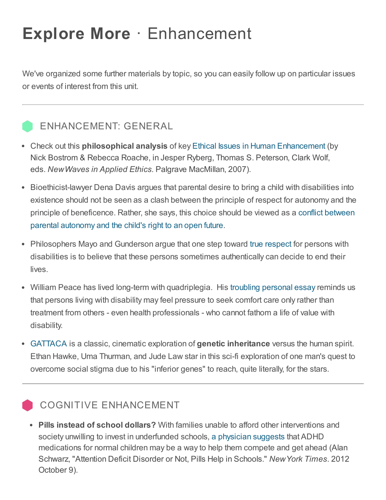# Explore More · Enhancement

We've organized some further materials by topic, so you can easily follow up on particular issues or events of interest from this unit.

## ENHANCEMENT: GENERAL

- Check out this **philosophical analysis** of key Ethical Issues in Human [Enhancement](http://www.fhi.ox.ac.uk/ethical-issues-in-human-enhancement.pdf) (by Nick Bostrom & Rebecca Roache, in Jesper Ryberg, Thomas S. Peterson, Clark Wolf, eds. NewWaves in Applied Ethics. Palgrave MacMillan, 2007).
- Bioethicist-lawyer Dena Davis argues that parental desire to bring a child with disabilities into existence should not be seen as a clash between the principle of respect for autonomy and the principle of [beneficence.](http://onlinelibrary.wiley.com/doi/10.2307/3527620/abstract) Rather, she says, this choice should be viewed as a conflict between parental autonomy and the child's right to an open future.
- Philosophers Mayo and Gunderson argue that one step toward true [respect](http://onlinelibrary.wiley.com/doi/10.2307/3528084/abstract) for persons with disabilities is to believe that these persons sometimes authentically can decide to end their lives.
- William Peace has lived long-term with quadriplegia. His troubling [personal](http://onlinelibrary.wiley.com/doi/10.1002/hast.38/abstract) essay reminds us that persons living with disability may feel pressure to seek comfort care only rather than treatment from others - even health professionals - who cannot fathom a life of value with disability.
- [GATTACA](http://www.youtube.com/watch?v=ZppWok6SX88) is a classic, cinematic exploration of genetic inheritance versus the human spirit. Ethan Hawke, Uma Thurman, and Jude Law star in this sci-fi exploration of one man's quest to overcome social stigma due to his "inferior genes" to reach, quite literally, for the stars.

### COGNITIVE ENHANCEMENT

• Pills instead of school dollars? With families unable to afford other interventions and society unwilling to invest in underfunded schools, a [physician](http://www.nytimes.com/2012/10/09/health/attention-disorder-or-not-children-prescribed-pills-to-help-in-school.html?pagewanted=all&_r=0) suggests that ADHD medications for normal children may be a way to help them compete and get ahead (Alan Schwarz, "Attention Deficit Disorder or Not, Pills Help in Schools." NewYork Times. 2012 October 9).